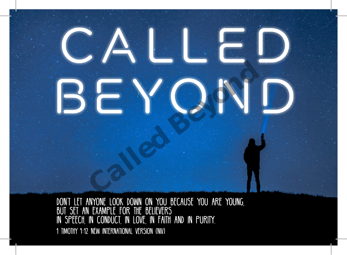